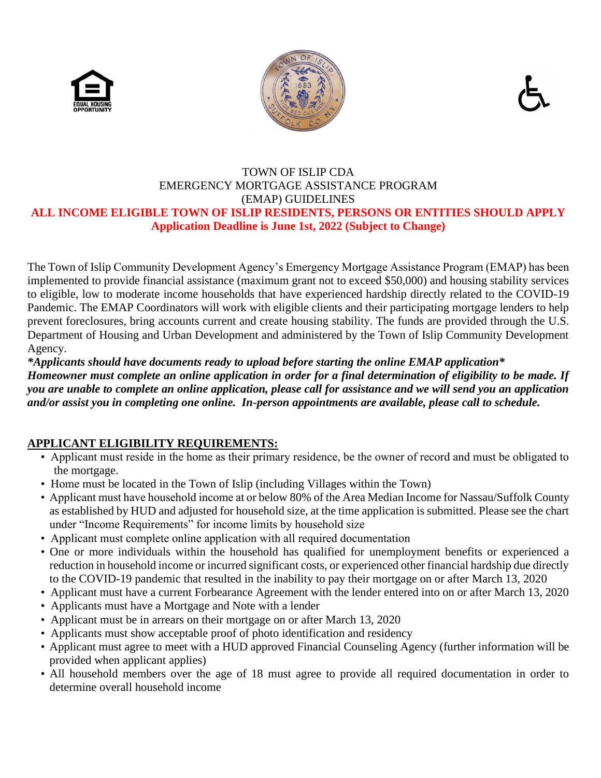





#### TOWN OF ISLIP CDA EMERGENCY MORTGAGE ASSISTANCE PROGRAM (EMAP) GUIDELINES **ALL INCOME ELIGIBLE TOWN OF ISLIP RESIDENTS, PERSONS OR ENTITIES SHOULD APPLY Application Deadline is June 1st, 2022 (Subject to Change)**

The Town of Islip Community Development Agency's Emergency Mortgage Assistance Program (EMAP) has been implemented to provide financial assistance (maximum grant not to exceed \$50,000) and housing stability services to eligible, low to moderate income households that have experienced hardship directly related to the COVID-19 Pandemic. The EMAP Coordinators will work with eligible clients and their participating mortgage lenders to help prevent foreclosures, bring accounts current and create housing stability. The funds are provided through the U.S. Department of Housing and Urban Development and administered by the Town of Islip Community Development Agency.

*\*Applicants should have documents ready to upload before starting the online EMAP application\**

*Homeowner must complete an online application in order for a final determination of eligibility to be made. If you are unable to complete an online application, please call for assistance and we will send you an application and/or assist you in completing one online. In-person appointments are available, please call to schedule.*

# **APPLICANT ELIGIBILITY REQUIREMENTS:**

- Applicant must reside in the home as their primary residence, be the owner of record and must be obligated to the mortgage.
- Home must be located in the Town of Islip (including Villages within the Town)
- Applicant must have household income at or below 80% of the Area Median Income for Nassau/Suffolk County as established by HUD and adjusted for household size, at the time application is submitted. Please see the chart under "Income Requirements" for income limits by household size
- Applicant must complete online application with all required documentation
- One or more individuals within the household has qualified for unemployment benefits or experienced a reduction in household income or incurred significant costs, or experienced other financial hardship due directly to the COVID-19 pandemic that resulted in the inability to pay their mortgage on or after March 13, 2020
- Applicant must have a current Forbearance Agreement with the lender entered into on or after March 13, 2020
- Applicants must have a Mortgage and Note with a lender
- Applicant must be in arrears on their mortgage on or after March 13, 2020
- Applicants must show acceptable proof of photo identification and residency
- Applicant must agree to meet with a HUD approved Financial Counseling Agency (further information will be provided when applicant applies)
- All household members over the age of 18 must agree to provide all required documentation in order to determine overall household income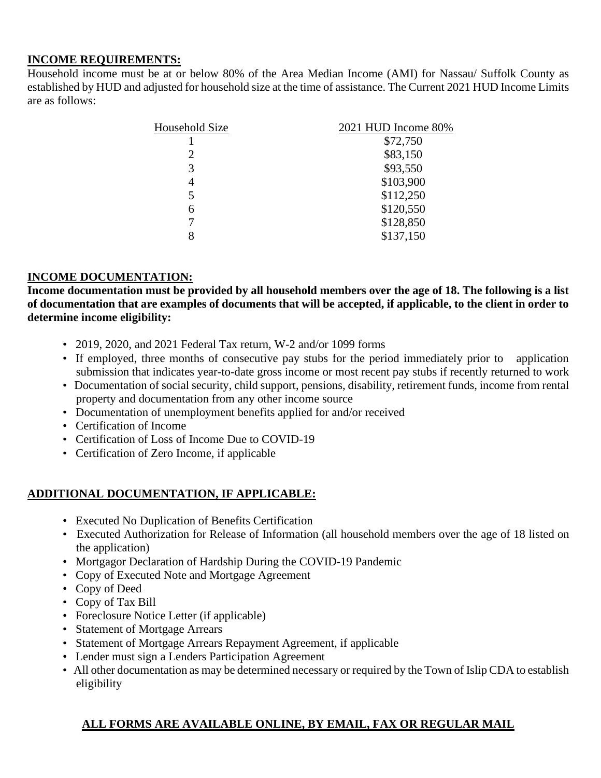#### **INCOME REQUIREMENTS:**

Household income must be at or below 80% of the Area Median Income (AMI) for Nassau/ Suffolk County as established by HUD and adjusted for household size at the time of assistance. The Current 2021 HUD Income Limits are as follows:

| Household Size | 2021 HUD Income 80% |
|----------------|---------------------|
|                | \$72,750            |
| 2              | \$83,150            |
| 3              | \$93,550            |
| 4              | \$103,900           |
| 5              | \$112,250           |
| 6              | \$120,550           |
|                | \$128,850           |
| 8              | \$137,150           |
|                |                     |

### **INCOME DOCUMENTATION:**

**Income documentation must be provided by all household members over the age of 18. The following is a list of documentation that are examples of documents that will be accepted, if applicable, to the client in order to determine income eligibility:**

- 2019, 2020, and 2021 Federal Tax return, W-2 and/or 1099 forms
- If employed, three months of consecutive pay stubs for the period immediately prior to application submission that indicates year-to-date gross income or most recent pay stubs if recently returned to work
- Documentation of social security, child support, pensions, disability, retirement funds, income from rental property and documentation from any other income source
- Documentation of unemployment benefits applied for and/or received
- Certification of Income
- Certification of Loss of Income Due to COVID-19
- Certification of Zero Income, if applicable

### **ADDITIONAL DOCUMENTATION, IF APPLICABLE:**

- Executed No Duplication of Benefits Certification
- Executed Authorization for Release of Information (all household members over the age of 18 listed on the application)
- Mortgagor Declaration of Hardship During the COVID-19 Pandemic
- Copy of Executed Note and Mortgage Agreement
- Copy of Deed
- Copy of Tax Bill
- Foreclosure Notice Letter (if applicable)
- Statement of Mortgage Arrears
- Statement of Mortgage Arrears Repayment Agreement, if applicable
- Lender must sign a Lenders Participation Agreement
- All other documentation as may be determined necessary or required by the Town of Islip CDA to establish eligibility

# **ALL FORMS ARE AVAILABLE ONLINE, BY EMAIL, FAX OR REGULAR MAIL**